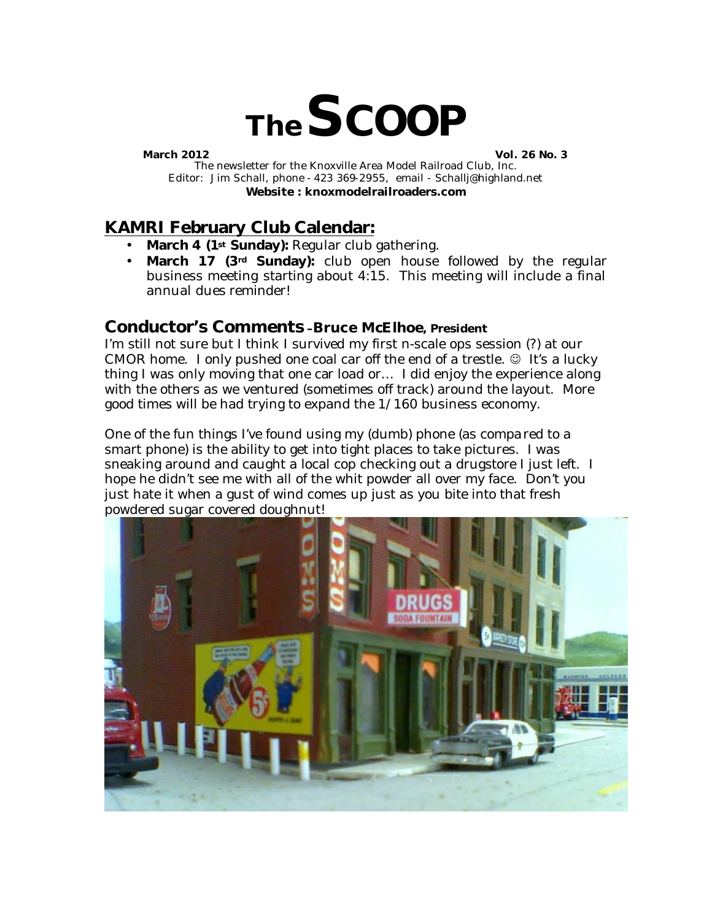

**March 2012 Vol. 26 No. 3**

The newsletter for the Knoxville Area Model Railroad Club, Inc. Editor: Jim Schall, phone - 423 369-2955, email - Schallj@highland.net **Website : knoxmodelrailroaders.com**

# **KAMRI February Club Calendar:**

- **March 4 (1st Sunday):** Regular club gathering.
- **March 17 (3rd Sunday):** club open house followed by the regular business meeting starting about 4:15. This meeting will include a final annual dues reminder!

### **Conductor's Comments –Bruce McElhoe, President**

I'm still not sure but I think I survived my first n-scale ops session (?) at our CMOR home. I only pushed one coal car off the end of a trestle.  $\odot$  It's a lucky thing I was only moving that one car load or… I did enjoy the experience along with the others as we ventured (sometimes off track) around the layout. More good times will be had trying to expand the 1/160 business economy.

One of the fun things I've found using my (dumb) phone (as compared to a smart phone) is the ability to get into tight places to take pictures. I was sneaking around and caught a local cop checking out a drugstore I just left. I hope he didn't see me with all of the whit powder all over my face. Don't you just hate it when a gust of wind comes up just as you bite into that fresh powdered sugar covered doughnut!

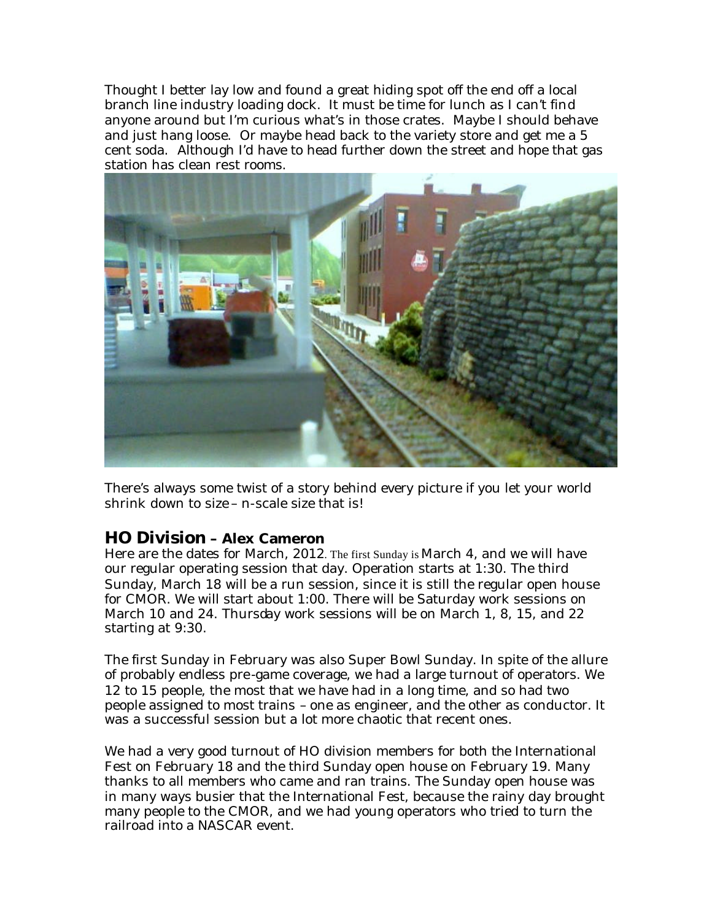Thought I better lay low and found a great hiding spot off the end off a local branch line industry loading dock. It must be time for lunch as I can't find anyone around but I'm curious what's in those crates. Maybe I should behave and just hang loose. Or maybe head back to the variety store and get me a 5 cent soda. Although I'd have to head further down the street and hope that gas station has clean rest rooms.



There's always some twist of a story behind every picture if you let your world shrink down to size – n-scale size that is!

### **HO Division – Alex Cameron**

Here are the dates for March, 2012. The first Sunday is March 4, and we will have our regular operating session that day. Operation starts at 1:30. The third Sunday, March 18 will be a run session, since it is still the regular open house for CMOR. We will start about 1:00. There will be Saturday work sessions on March 10 and 24. Thursday work sessions will be on March 1, 8, 15, and 22 starting at 9:30.

The first Sunday in February was also Super Bowl Sunday. In spite of the allure of probably endless pre-game coverage, we had a large turnout of operators. We 12 to 15 people, the most that we have had in a long time, and so had two people assigned to most trains – one as engineer, and the other as conductor. It was a successful session but a lot more chaotic that recent ones.

We had a very good turnout of HO division members for both the International Fest on February 18 and the third Sunday open house on February 19. Many thanks to all members who came and ran trains. The Sunday open house was in many ways busier that the International Fest, because the rainy day brought many people to the CMOR, and we had young operators who tried to turn the railroad into a NASCAR event.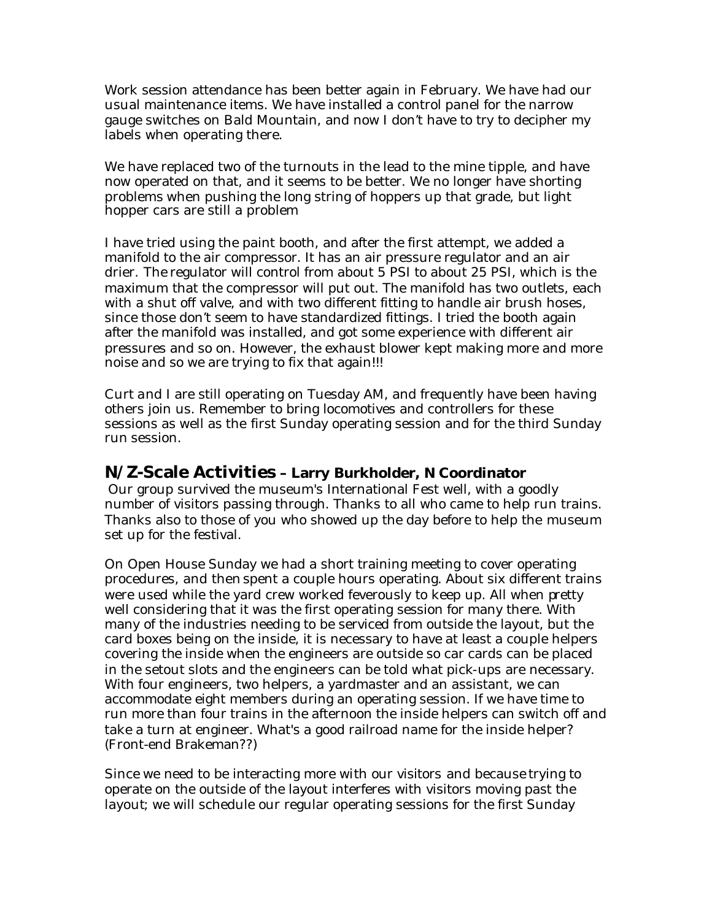Work session attendance has been better again in February. We have had our usual maintenance items. We have installed a control panel for the narrow gauge switches on Bald Mountain, and now I don't have to try to decipher my labels when operating there.

We have replaced two of the turnouts in the lead to the mine tipple, and have now operated on that, and it seems to be better. We no longer have shorting problems when pushing the long string of hoppers up that grade, but light hopper cars are still a problem

I have tried using the paint booth, and after the first attempt, we added a manifold to the air compressor. It has an air pressure regulator and an air drier. The regulator will control from about 5 PSI to about 25 PSI, which is the maximum that the compressor will put out. The manifold has two outlets, each with a shut off valve, and with two different fitting to handle air brush hoses, since those don't seem to have standardized fittings. I tried the booth again after the manifold was installed, and got some experience with different air pressures and so on. However, the exhaust blower kept making more and more noise and so we are trying to fix that again!!!

Curt and I are still operating on Tuesday AM, and frequently have been having others join us. Remember to bring locomotives and controllers for these sessions as well as the first Sunday operating session and for the third Sunday run session.

### **N/Z-Scale Activities – Larry Burkholder, N Coordinator**

Our group survived the museum's International Fest well, with a goodly number of visitors passing through. Thanks to all who came to help run trains. Thanks also to those of you who showed up the day before to help the museum set up for the festival.

On Open House Sunday we had a short training meeting to cover operating procedures, and then spent a couple hours operating. About six different trains were used while the yard crew worked feverously to keep up. All when pretty well considering that it was the first operating session for many there. With many of the industries needing to be serviced from outside the layout, but the card boxes being on the inside, it is necessary to have at least a couple helpers covering the inside when the engineers are outside so car cards can be placed in the setout slots and the engineers can be told what pick-ups are necessary. With four engineers, two helpers, a yardmaster and an assistant, we can accommodate eight members during an operating session. If we have time to run more than four trains in the afternoon the inside helpers can switch off and take a turn at engineer. What's a good railroad name for the inside helper? (Front-end Brakeman??)

Since we need to be interacting more with our visitors and because trying to operate on the outside of the layout interferes with visitors moving past the layout; we will schedule our regular operating sessions for the first Sunday